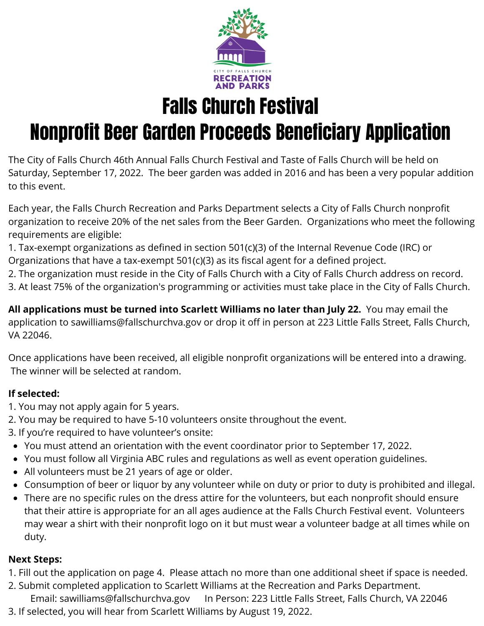

Falls Church Festival

# Nonprofit Beer Garden Proceeds Beneficiary Application

The City of Falls Church 46th Annual Falls Church Festival and Taste of Falls Church will be held on Saturday, September 17, 2022. The beer garden was added in 2016 and has been a very popular addition to this event.

Each year, the Falls Church Recreation and Parks Department selects a City of Falls Church nonprofit organization to receive 20% of the net sales from the Beer Garden. Organizations who meet the following requirements are eligible:

1. Tax-exempt organizations as defined in section 501(c)(3) of the Internal Revenue Code (IRC) or

Organizations that have a tax-exempt 501(c)(3) as its fiscal agent for a defined project.

2. The organization must reside in the City of Falls Church with a City of Falls Church address on record.

3. At least 75% of the organization's programming or activities must take place in the City of Falls Church.

**All applications must be turned into Scarlett Williams no later than July 22.** You may email the application to sawilliams@fallschurchva.gov or drop it off in person at 223 Little Falls Street, Falls Church, VA 22046.

Once applications have been received, all eligible nonprofit organizations will be entered into a drawing. The winner will be selected at random.

# **If selected:**

- 1. You may not apply again for 5 years.
- 2. You may be required to have 5-10 volunteers onsite throughout the event.
- 3. If you're required to have volunteer's onsite:
- You must attend an orientation with the event coordinator prior to September 17, 2022.
- You must follow all Virginia ABC rules and regulations as well as event operation guidelines.
- All volunteers must be 21 years of age or older.
- Consumption of beer or liquor by any volunteer while on duty or prior to duty is prohibited and illegal.
- There are no specific rules on the dress attire for the volunteers, but each nonprofit should ensure that their attire is appropriate for an all ages audience at the Falls Church Festival event. Volunteers may wear a shirt with their nonprofit logo on it but must wear a volunteer badge at all times while on duty.

# **Next Steps:**

- 1. Fill out the application on page 4. Please attach no more than one additional sheet if space is needed.
- 2. Submit completed application to Scarlett Williams at the Recreation and Parks Department.
- Email: sawilliams@fallschurchva.gov In Person: 223 Little Falls Street, Falls Church, VA 22046
- 3. If selected, you will hear from Scarlett Williams by August 19, 2022.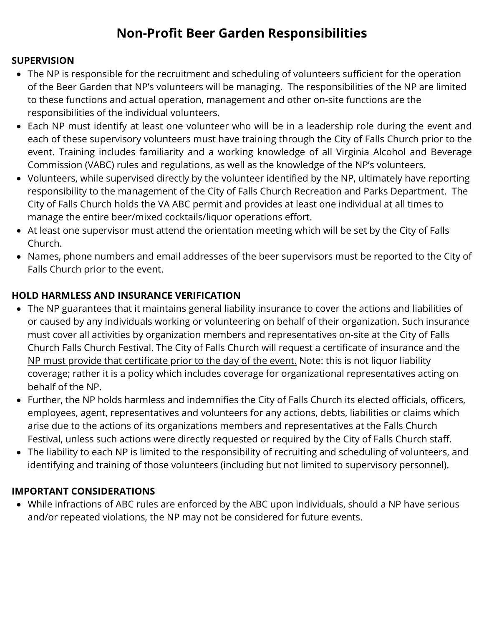# **Non-Profit Beer Garden Responsibilities**

# **SUPERVISION**

- The NP is responsible for the recruitment and scheduling of volunteers sufficient for the operation of the Beer Garden that NP's volunteers will be managing. The responsibilities of the NP are limited to these functions and actual operation, management and other on-site functions are the responsibilities of the individual volunteers.
- Each NP must identify at least one volunteer who will be in a leadership role during the event and each of these supervisory volunteers must have training through the City of Falls Church prior to the event. Training includes familiarity and a working knowledge of all Virginia Alcohol and Beverage Commission (VABC) rules and regulations, as well as the knowledge of the NP's volunteers.
- Volunteers, while supervised directly by the volunteer identified by the NP, ultimately have reporting responsibility to the management of the City of Falls Church Recreation and Parks Department. The City of Falls Church holds the VA ABC permit and provides at least one individual at all times to manage the entire beer/mixed cocktails/liquor operations effort.
- At least one supervisor must attend the orientation meeting which will be set by the City of Falls Church.
- Names, phone numbers and email addresses of the beer supervisors must be reported to the City of Falls Church prior to the event.

# **HOLD HARMLESS AND INSURANCE VERIFICATION**

- The NP guarantees that it maintains general liability insurance to cover the actions and liabilities of or caused by any individuals working or volunteering on behalf of their organization. Such insurance must cover all activities by organization members and representatives on-site at the City of Falls Church Falls Church Festival. The City of Falls Church will request a certificate of insurance and the NP must provide that certificate prior to the day of the event. Note: this is not liquor liability coverage; rather it is a policy which includes coverage for organizational representatives acting on behalf of the NP.
- Further, the NP holds harmless and indemnifies the City of Falls Church its elected officials, officers, employees, agent, representatives and volunteers for any actions, debts, liabilities or claims which arise due to the actions of its organizations members and representatives at the Falls Church Festival, unless such actions were directly requested or required by the City of Falls Church staff.
- The liability to each NP is limited to the responsibility of recruiting and scheduling of volunteers, and identifying and training of those volunteers (including but not limited to supervisory personnel).

### **IMPORTANT CONSIDERATIONS**

While infractions of ABC rules are enforced by the ABC upon individuals, should a NP have serious and/or repeated violations, the NP may not be considered for future events.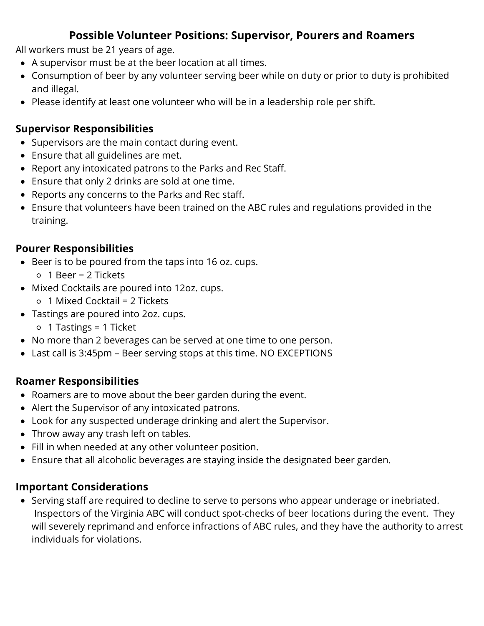# **Possible Volunteer Positions: Supervisor, Pourers and Roamers**

All workers must be 21 years of age.

- A supervisor must be at the beer location at all times.
- Consumption of beer by any volunteer serving beer while on duty or prior to duty is prohibited and illegal.
- Please identify at least one volunteer who will be in a leadership role per shift.

# **Supervisor Responsibilities**

- Supervisors are the main contact during event.
- Ensure that all guidelines are met.
- Report any intoxicated patrons to the Parks and Rec Staff.
- Ensure that only 2 drinks are sold at one time.
- Reports any concerns to the Parks and Rec staff.
- Ensure that volunteers have been trained on the ABC rules and regulations provided in the training.

# **Pourer Responsibilities**

- Beer is to be poured from the taps into 16 oz. cups.
	- 1 Beer = 2 Tickets
- Mixed Cocktails are poured into 12oz. cups.
	- $\circ$  1 Mixed Cocktail = 2 Tickets
- Tastings are poured into 2oz. cups.
	- 1 Tastings = 1 Ticket
- No more than 2 beverages can be served at one time to one person.
- Last call is 3:45pm Beer serving stops at this time. NO EXCEPTIONS

# **Roamer Responsibilities**

- Roamers are to move about the beer garden during the event.
- Alert the Supervisor of any intoxicated patrons.
- Look for any suspected underage drinking and alert the Supervisor.
- Throw away any trash left on tables.
- Fill in when needed at any other volunteer position.
- Ensure that all alcoholic beverages are staying inside the designated beer garden.

### **Important Considerations**

Serving staff are required to decline to serve to persons who appear underage or inebriated. Inspectors of the Virginia ABC will conduct spot-checks of beer locations during the event. They will severely reprimand and enforce infractions of ABC rules, and they have the authority to arrest individuals for violations.